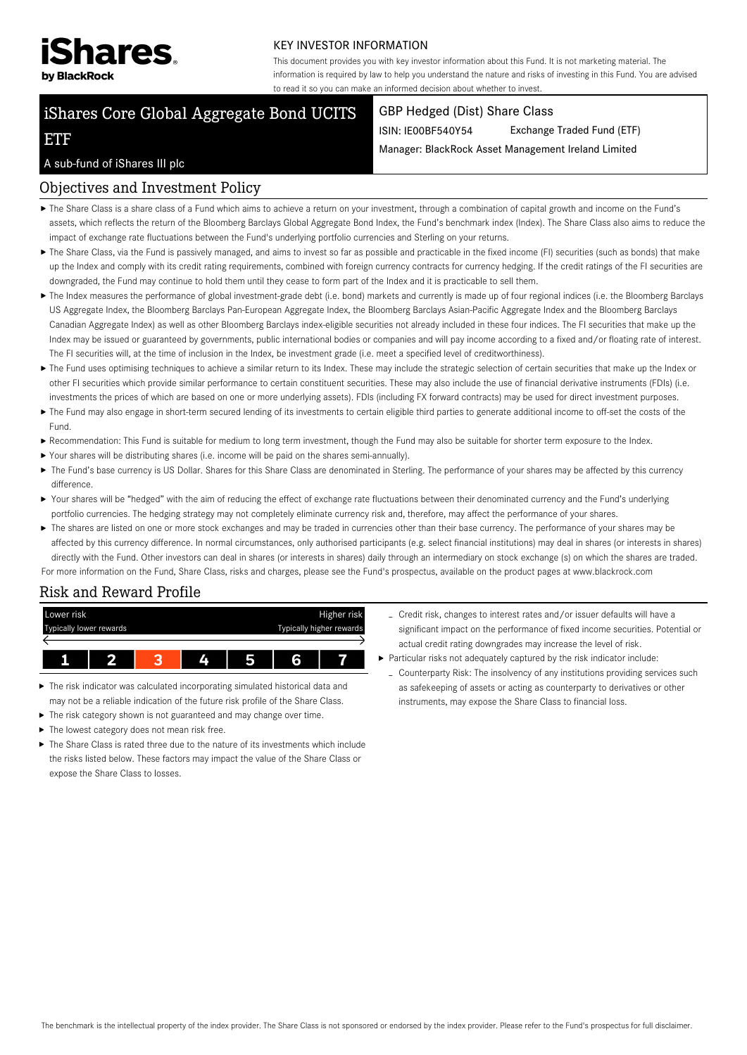

#### KEY INVESTOR INFORMATION

This document provides you with key investor information about this Fund. It is not marketing material. The information is required by law to help you understand the nature and risks of investing in this Fund. You are advised to read it so you can make an informed decision about whether to invest.

# iShares Core Global Aggregate Bond UCITS

#### GBP Hedged (Dist) Share Class

ISIN: IE00BF540Y54 Exchange Traded Fund (ETF)

Manager: BlackRock Asset Management Ireland Limited

#### A sub-fund of iShares III plc

ETF

## Objectives and Investment Policy

- The Share Class is a share class of a Fund which aims to achieve a return on your investment, through a combination of capital growth and income on the Fund's assets, which reflects the return of the Bloomberg Barclays Global Aggregate Bond Index, the Fund's benchmark index (Index). The Share Class also aims to reduce the impact of exchange rate fluctuations between the Fund's underlying portfolio currencies and Sterling on your returns.
- ▶ The Share Class, via the Fund is passively managed, and aims to invest so far as possible and practicable in the fixed income (FI) securities (such as bonds) that make up the Index and comply with its credit rating requirements, combined with foreign currency contracts for currency hedging. If the credit ratings of the FI securities are downgraded, the Fund may continue to hold them until they cease to form part of the Index and it is practicable to sell them.
- ▶ The Index measures the performance of global investment-grade debt (i.e. bond) markets and currently is made up of four regional indices (i.e. the Bloomberg Barclays US Aggregate Index, the Bloomberg Barclays Pan-European Aggregate Index, the Bloomberg Barclays Asian-Pacific Aggregate Index and the Bloomberg Barclays Canadian Aggregate Index) as well as other Bloomberg Barclays index-eligible securities not already included in these four indices. The FI securities that make up the Index may be issued or guaranteed by governments, public international bodies or companies and will pay income according to a fixed and/or floating rate of interest. The FI securities will, at the time of inclusion in the Index, be investment grade (i.e. meet a specified level of creditworthiness).
- ▶ The Fund uses optimising techniques to achieve a similar return to its Index. These may include the strategic selection of certain securities that make up the Index or other FI securities which provide similar performance to certain constituent securities. These may also include the use of financial derivative instruments (FDIs) (i.e. investments the prices of which are based on one or more underlying assets). FDIs (including FX forward contracts) may be used for direct investment purposes.
- ▶ The Fund may also engage in short-term secured lending of its investments to certain eligible third parties to generate additional income to off-set the costs of the Fund.
- Recommendation: This Fund is suitable for medium to long term investment, though the Fund may also be suitable for shorter term exposure to the Index.
- Your shares will be distributing shares (i.e. income will be paid on the shares semi-annually).
- ▶ The Fund's base currency is US Dollar. Shares for this Share Class are denominated in Sterling. The performance of your shares may be affected by this currency difference
- Your shares will be "hedged" with the aim of reducing the effect of exchange rate fluctuations between their denominated currency and the Fund's underlying portfolio currencies. The hedging strategy may not completely eliminate currency risk and, therefore, may affect the performance of your shares.
- The shares are listed on one or more stock exchanges and may be traded in currencies other than their base currency. The performance of your shares may be affected by this currency difference. In normal circumstances, only authorised participants (e.g. select financial institutions) may deal in shares (or interests in shares) directly with the Fund. Other investors can deal in shares (or interests in shares) daily through an intermediary on stock exchange (s) on which the shares are traded. For more information on the Fund, Share Class, risks and charges, please see the Fund's prospectus, available on the product pages at www.blackrock.com

# Risk and Reward Profile

| Lower risk              |  |  |    | Higher risk              |   |  |
|-------------------------|--|--|----|--------------------------|---|--|
| Typically lower rewards |  |  |    | Typically higher rewards |   |  |
|                         |  |  |    |                          |   |  |
|                         |  |  | Д. | 5                        | 6 |  |

- ▶ The risk indicator was calculated incorporating simulated historical data and may not be a reliable indication of the future risk profile of the Share Class.
- $\blacktriangleright$  The risk category shown is not guaranteed and may change over time.
- ▶ The lowest category does not mean risk free.
- The Share Class is rated three due to the nature of its investments which include the risks listed below. These factors may impact the value of the Share Class or expose the Share Class to losses.
- Credit risk, changes to interest rates and/or issuer defaults will have a significant impact on the performance of fixed income securities. Potential or actual credit rating downgrades may increase the level of risk.
- Particular risks not adequately captured by the risk indicator include:
- Counterparty Risk: The insolvency of any institutions providing services such as safekeeping of assets or acting as counterparty to derivatives or other instruments, may expose the Share Class to financial loss.